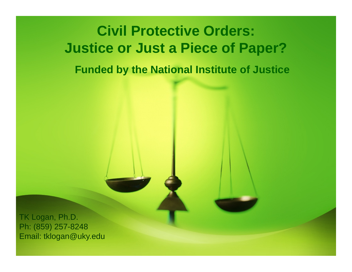## **Civil Protective Orders: Justice or Just a Piece of Paper?**

**Funded by the National Institute of Justice**

TK Logan, Ph.D. Ph: (859) 257-8248 Email: tklogan@uky.edu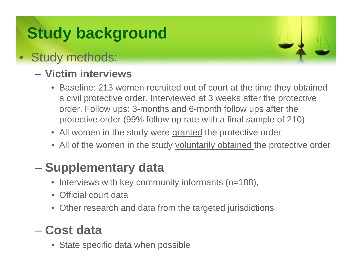### **Study background**

#### • Study methods:

#### – **Victim interviews**

- Baseline: 213 women recruited out of court at the time they obtained a civil protective order. Interviewed at 3 weeks after the protective order. Follow ups: 3-months and 6-month follow ups after the protective order (99% follow up rate with a final sample of 210)
- All women in the study were granted the protective order
- All of the women in the study voluntarily obtained the protective order

#### **Supplementary data**

- •Interviews with key community informants (n=188),
- $\bullet$ Official court data
- $\bullet$ Other research and data from the targeted jurisdictions

#### – **Cost data**

• State specific data when possible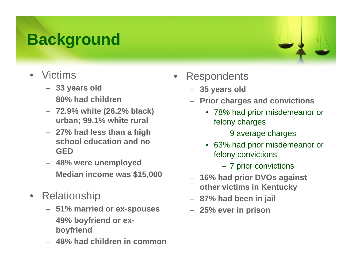### **Background**

- $\bullet$  Victims
	- **33 years old**
	- **80% had children**
	- **72.9% white (26.2% black) urban; 99.1% white rural**
	- **27% had less than a high school education and no GED**
	- **48% were unemployed**
	- **Median income was \$15,000**
- • Relationship
	- **51% married or ex-spouses**
	- **49% boyfriend or exboyfriend**
	- **48% had children in common**
- $\bullet$ **Respondents** 
	- **35 years old**
	- **Prior charges and convictions**
		- 78% had prior misdemeanor or felony charges
			- 9 average charges
		- 63% had prior misdemeanor or felony convictions
			- 7 prior convictions
	- **16% had prior DVOs against other victims in Kentucky**
	- **87% had been in jail**
	- **25% ever in prison**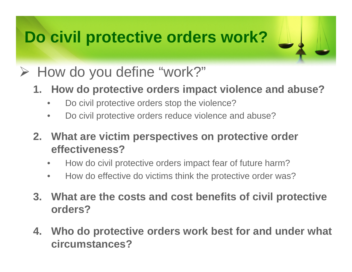### **Do civil protective orders work?**

### ¾ How do you define "work?"

- **1. How do protective orders impact violence and abuse?**
	- •Do civil protective orders stop the violence?
	- $\bullet$ Do civil protective orders reduce violence and abuse?

**2. What are victim perspectives on protective order effectiveness?**

- $\bullet$ How do civil protective orders impact fear of future harm?
- $\bullet$ How do effective do victims think the protective order was?
- **3. What are the costs and cost benefits of civil protective orders?**
- **4. Who do protective orders work best for and under what circumstances?**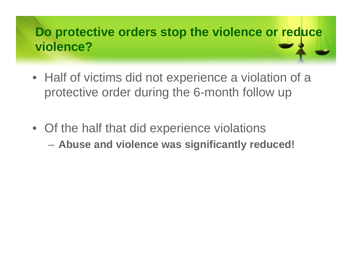#### **Do protective orders stop the violence or reduce violence?**

- Half of victims did not experience a violation of a protective order during the 6-month follow up
- Of the half that did experience violations
	- **Abuse and violence was significantly reduced!**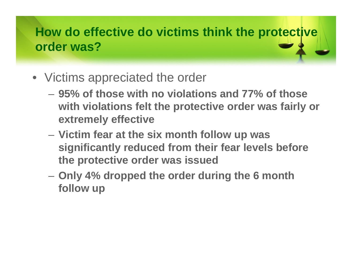#### **How do effective do victims think the protective order was?**

- Victims appreciated the order
	- **95% of those with no violations and 77% of those with violations felt the protective order was fairly or extremely effective**
	- $\mathcal{L}_{\mathcal{A}}$  **Victim fear at the six month follow up was significantly reduced from their fear levels before the protective order was issued**
	- **Only 4% dropped the order during the 6 month follow up**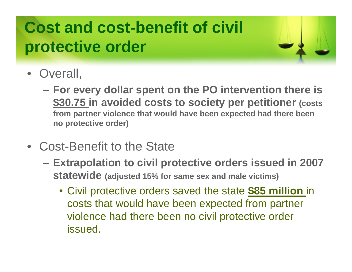### **Cost and cost-benefit of civil protective order**



- Overall,
	- – **For every dollar spent on the PO intervention there is \$30.75 in avoided costs to society per petitioner (costs from partner violence that would have been expected had there been no protective order)**
- Cost-Benefit to the State
	- $\mathcal{L}_{\mathcal{A}}$  **Extrapolation to civil protective orders issued in 2007 statewide (adjusted 15% for same sex and male victims)**
		- Civil protective orders saved the state **\$85 million** in costs that would have been expected from partner violence had there been no civil protective order issued.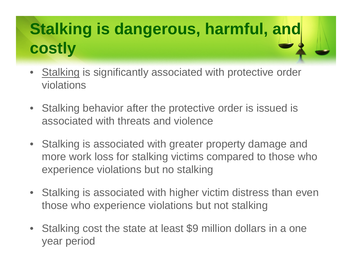### **Stalking is dangerous, harmful, and costly**

- • Stalking is significantly associated with protective order violations
- $\bullet$  Stalking behavior after the protective order is issued is associated with threats and violence
- Stalking is associated with greater property damage and more work loss for stalking victims compared to those who experience violations but no stalking
- Stalking is associated with higher victim distress than even those who experience violations but not stalking
- $\bullet$  Stalking cost the state at least \$9 million dollars in a one year period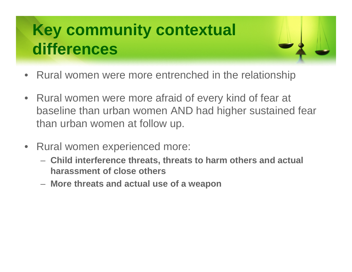### **Key community contextual differences**



- Rural women were more afraid of every kind of fear at baseline than urban women AND had higher sustained fear than urban women at follow up.
- $\bullet$  Rural women experienced more:
	- **Child interference threats, threats to harm others and actual harassment of close others**
	- **More threats and actual use of a weapon**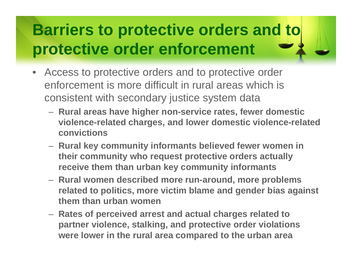### **Barriers to protective orders and to protective order enforcement**

- $\bullet$  Access to protective orders and to protective order enforcement is more difficult in rural areas which is consistent with secondary justice system data
	- **Rural areas have higher non-service rates, fewer domestic violence-related charges, and lower domestic violence-related convictions**
	- **Rural key community informants believed fewer women in their community who request protective orders actually receive them than urban key community informants**
	- **Rural women described more run-around, more problems related to politics, more victim blame and gender bias against them than urban women**
	- **Rates of perceived arrest and actual charges related to partner violence, stalking, and protective order violations were lower in the rural area compared to the urban area**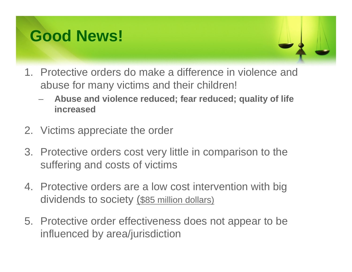### **Good News!**

- 1. Protective orders do make a difference in violence and abuse for many victims and their children!
	- **Abuse and violence reduced; fear reduced; quality of life increased**
- 2. Victims appreciate the order
- 3. Protective orders cost very little in comparison to the suffering and costs of victims
- 4. Protective orders are a low cost intervention with big dividends to society (\$85 million dollars)
- 5. Protective order effectiveness does not appear to be influenced by area/jurisdiction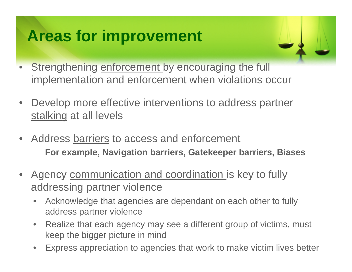### **Areas for improvement**

- Strengthening enforcement by encouraging the full implementation and enforcement when violations occur
- Develop more effective interventions to address partner stalking at all levels
- Address barriers to access and enforcement
	- **For example, Navigation barriers, Gatekeeper barriers, Biases**
- Agency communication and coordination is key to fully addressing partner violence
	- • Acknowledge that agencies are dependant on each other to fully address partner violence
	- • Realize that each agency may see a different group of victims, must keep the bigger picture in mind
	- •Express appreciation to agencies that work to make victim lives better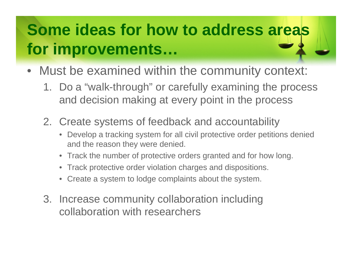### **Some ideas for how to address areas for improvements…**

- Must be examined within the community context:
	- 1. Do a "walk-through" or carefully examining the process and decision making at every point in the process
	- 2. Create systems of feedback and accountability
		- Develop a tracking system for all civil protective order petitions denied and the reason they were denied.
		- Track the number of protective orders granted and for how long.
		- Track protective order violation charges and dispositions.
		- Create a system to lodge complaints about the system.
	- 3. Increase community collaboration including collaboration with researchers